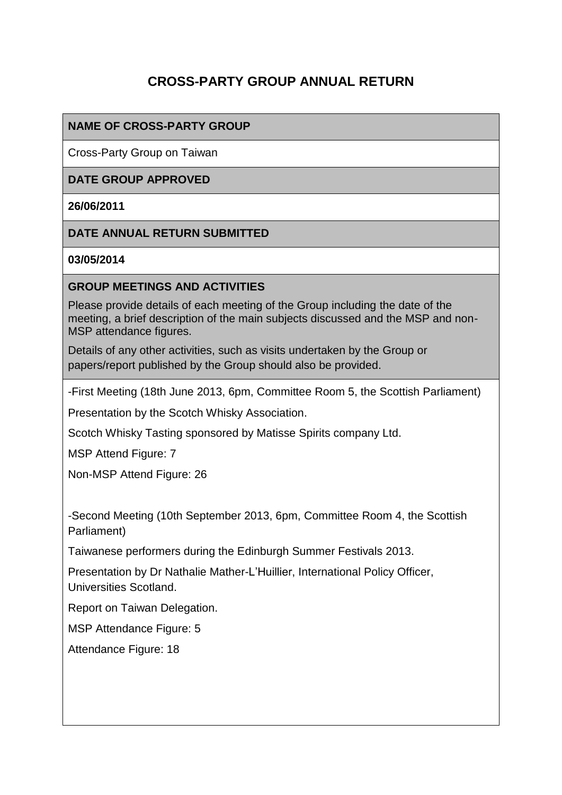# **CROSS-PARTY GROUP ANNUAL RETURN**

### **NAME OF CROSS-PARTY GROUP**

Cross-Party Group on Taiwan

#### **DATE GROUP APPROVED**

#### **26/06/2011**

#### **DATE ANNUAL RETURN SUBMITTED**

#### **03/05/2014**

#### **GROUP MEETINGS AND ACTIVITIES**

Please provide details of each meeting of the Group including the date of the meeting, a brief description of the main subjects discussed and the MSP and non-MSP attendance figures.

Details of any other activities, such as visits undertaken by the Group or papers/report published by the Group should also be provided.

-First Meeting (18th June 2013, 6pm, Committee Room 5, the Scottish Parliament)

Presentation by the Scotch Whisky Association.

Scotch Whisky Tasting sponsored by Matisse Spirits company Ltd.

MSP Attend Figure: 7

Non-MSP Attend Figure: 26

-Second Meeting (10th September 2013, 6pm, Committee Room 4, the Scottish Parliament)

Taiwanese performers during the Edinburgh Summer Festivals 2013.

Presentation by Dr Nathalie Mather-L'Huillier, International Policy Officer, Universities Scotland.

Report on Taiwan Delegation.

MSP Attendance Figure: 5

Attendance Figure: 18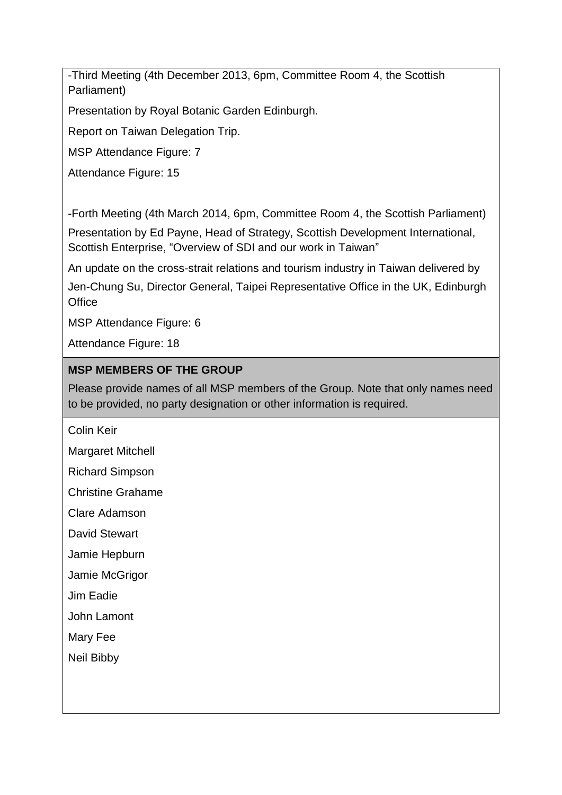-Third Meeting (4th December 2013, 6pm, Committee Room 4, the Scottish Parliament)

Presentation by Royal Botanic Garden Edinburgh.

Report on Taiwan Delegation Trip.

MSP Attendance Figure: 7

Attendance Figure: 15

-Forth Meeting (4th March 2014, 6pm, Committee Room 4, the Scottish Parliament) Presentation by Ed Payne, Head of Strategy, Scottish Development International, Scottish Enterprise, "Overview of SDI and our work in Taiwan"

An update on the cross-strait relations and tourism industry in Taiwan delivered by

Jen-Chung Su, Director General, Taipei Representative Office in the UK, Edinburgh **Office** 

MSP Attendance Figure: 6

Attendance Figure: 18

# **MSP MEMBERS OF THE GROUP**

Please provide names of all MSP members of the Group. Note that only names need to be provided, no party designation or other information is required.

Colin Keir

Margaret Mitchell

Richard Simpson

Christine Grahame

Clare Adamson

David Stewart

Jamie Hepburn

Jamie McGrigor

Jim Eadie

John Lamont

Mary Fee

Neil Bibby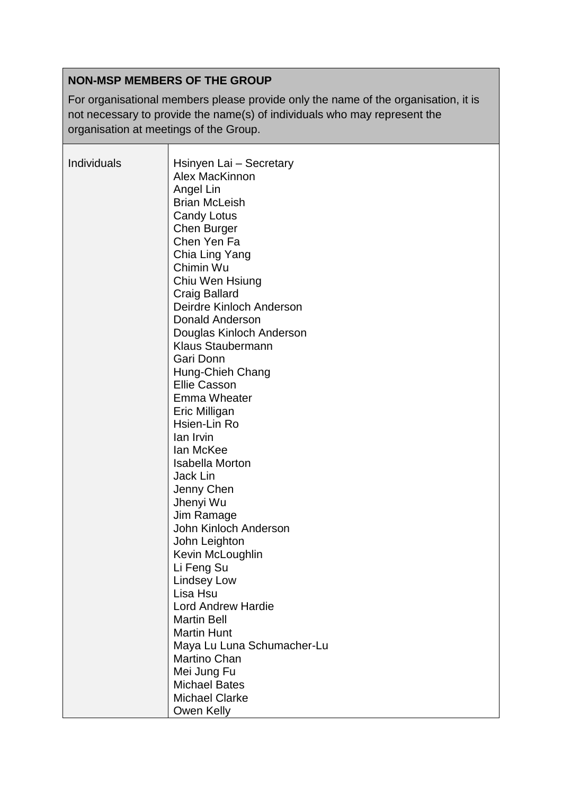# **NON-MSP MEMBERS OF THE GROUP**

For organisational members please provide only the name of the organisation, it is not necessary to provide the name(s) of individuals who may represent the organisation at meetings of the Group.

| Individuals | Hsinyen Lai - Secretary<br>Alex MacKinnon<br>Angel Lin<br><b>Brian McLeish</b><br><b>Candy Lotus</b><br>Chen Burger<br>Chen Yen Fa<br>Chia Ling Yang<br>Chimin Wu<br>Chiu Wen Hsiung<br><b>Craig Ballard</b><br>Deirdre Kinloch Anderson<br>Donald Anderson<br>Douglas Kinloch Anderson<br><b>Klaus Staubermann</b><br>Gari Donn<br>Hung-Chieh Chang<br><b>Ellie Casson</b><br><b>Emma Wheater</b><br>Eric Milligan<br>Hsien-Lin Ro<br>lan Irvin<br>lan McKee<br><b>Isabella Morton</b><br>Jack Lin<br>Jenny Chen<br>Jhenyi Wu<br>Jim Ramage<br>John Kinloch Anderson<br>John Leighton<br>Kevin McLoughlin<br>Li Feng Su<br><b>Lindsey Low</b><br>Lisa Hsu<br><b>Lord Andrew Hardie</b><br><b>Martin Bell</b><br><b>Martin Hunt</b><br>Maya Lu Luna Schumacher-Lu |
|-------------|-------------------------------------------------------------------------------------------------------------------------------------------------------------------------------------------------------------------------------------------------------------------------------------------------------------------------------------------------------------------------------------------------------------------------------------------------------------------------------------------------------------------------------------------------------------------------------------------------------------------------------------------------------------------------------------------------------------------------------------------------------------------|
|             | <b>Martino Chan</b>                                                                                                                                                                                                                                                                                                                                                                                                                                                                                                                                                                                                                                                                                                                                               |
|             | Mei Jung Fu<br><b>Michael Bates</b><br><b>Michael Clarke</b><br>Owen Kelly                                                                                                                                                                                                                                                                                                                                                                                                                                                                                                                                                                                                                                                                                        |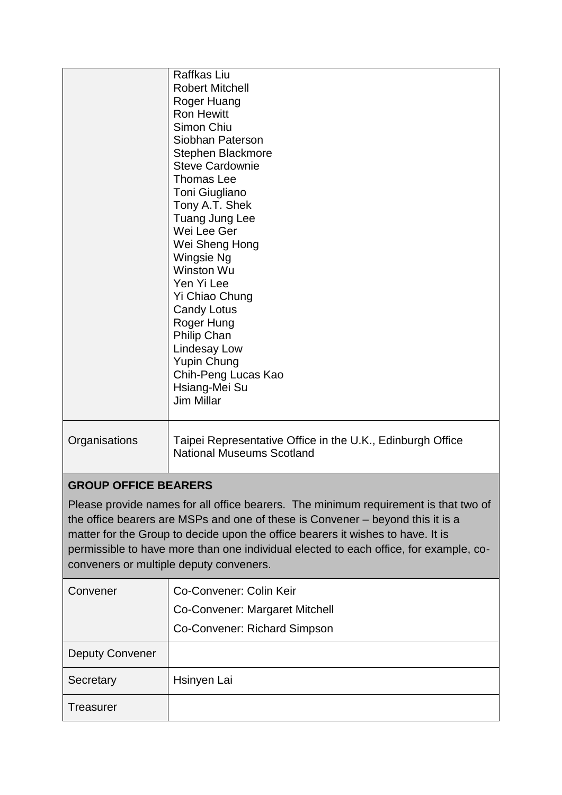|                                                                                                                                                                                                                                                                                                                                                                                                                             | Raffkas Liu<br><b>Robert Mitchell</b><br>Roger Huang<br><b>Ron Hewitt</b><br>Simon Chiu<br>Siobhan Paterson<br>Stephen Blackmore<br><b>Steve Cardownie</b><br><b>Thomas Lee</b><br>Toni Giugliano<br>Tony A.T. Shek<br>Tuang Jung Lee<br>Wei Lee Ger<br>Wei Sheng Hong<br>Wingsie Ng<br>Winston Wu<br>Yen Yi Lee<br>Yi Chiao Chung<br><b>Candy Lotus</b><br>Roger Hung<br><b>Philip Chan</b><br><b>Lindesay Low</b><br><b>Yupin Chung</b><br>Chih-Peng Lucas Kao<br>Hsiang-Mei Su<br><b>Jim Millar</b> |  |
|-----------------------------------------------------------------------------------------------------------------------------------------------------------------------------------------------------------------------------------------------------------------------------------------------------------------------------------------------------------------------------------------------------------------------------|--------------------------------------------------------------------------------------------------------------------------------------------------------------------------------------------------------------------------------------------------------------------------------------------------------------------------------------------------------------------------------------------------------------------------------------------------------------------------------------------------------|--|
| Organisations                                                                                                                                                                                                                                                                                                                                                                                                               | Taipei Representative Office in the U.K., Edinburgh Office<br><b>National Museums Scotland</b>                                                                                                                                                                                                                                                                                                                                                                                                         |  |
| <b>GROUP OFFICE BEARERS</b><br>Please provide names for all office bearers. The minimum requirement is that two of<br>the office bearers are MSPs and one of these is Convener – beyond this it is a<br>matter for the Group to decide upon the office bearers it wishes to have. It is<br>permissible to have more than one individual elected to each office, for example, co-<br>conveners or multiple deputy conveners. |                                                                                                                                                                                                                                                                                                                                                                                                                                                                                                        |  |
| Convener                                                                                                                                                                                                                                                                                                                                                                                                                    | Co-Convener: Colin Keir<br>Co-Convener: Margaret Mitchell<br>Co-Convener: Richard Simpson                                                                                                                                                                                                                                                                                                                                                                                                              |  |
| <b>Deputy Convener</b>                                                                                                                                                                                                                                                                                                                                                                                                      |                                                                                                                                                                                                                                                                                                                                                                                                                                                                                                        |  |
| Secretary                                                                                                                                                                                                                                                                                                                                                                                                                   | Hsinyen Lai                                                                                                                                                                                                                                                                                                                                                                                                                                                                                            |  |
| Treasurer                                                                                                                                                                                                                                                                                                                                                                                                                   |                                                                                                                                                                                                                                                                                                                                                                                                                                                                                                        |  |